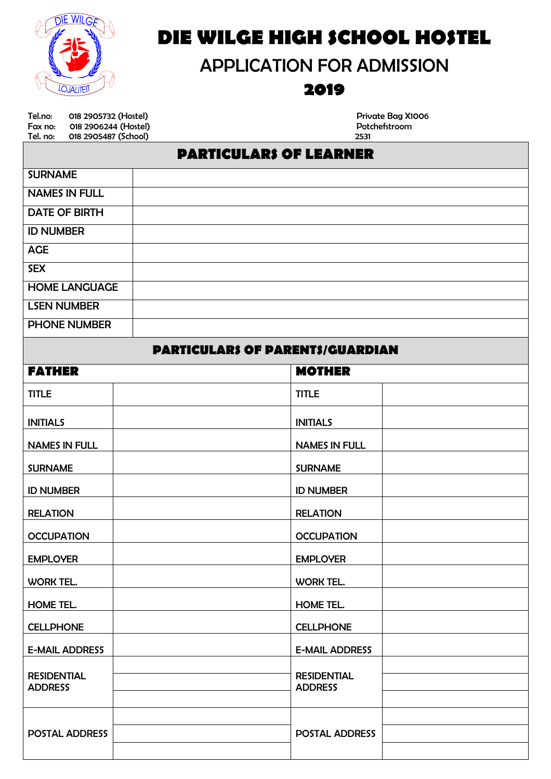

# *DIE WILGE HIGH SCHOOL HOSTEL*

# APPLICATION FOR ADMISSION

## *2019*

Tel.no: 018 2905732 (Hostel)<br>
Fax no: 018 2906244 (Hostel) Potchefstroom Potchefstroom Fax no: 018 2906244 (Hostel) Potchefstrom Potchefstrom Potchefstrom Potchefstrom Potchefstrom Potchefstrom Pot<br>Tel. no: 018 2905487 (School) Potchefstrom Potchefstrom Potchefstrom Potchefstrom Potchefstrom Potchefstrom Po 018 2905487 (School)

## *PARTICULARS OF LEARNER*

| <b>SURNAME</b>       |  |
|----------------------|--|
| <b>NAMES IN FULL</b> |  |
| <b>DATE OF BIRTH</b> |  |
| <b>ID NUMBER</b>     |  |
| <b>AGE</b>           |  |
| <b>SEX</b>           |  |
| <b>HOME LANGUAGE</b> |  |
| <b>LSEN NUMBER</b>   |  |
| <b>PHONE NUMBER</b>  |  |

### *PARTICULARS OF PARENTS/GUARDIAN*

| <b>FATHER</b>                        | <b>MOTHER</b>                        |
|--------------------------------------|--------------------------------------|
| <b>TITLE</b>                         | <b>TITLE</b>                         |
| <b>INITIALS</b>                      | <b>INITIALS</b>                      |
| <b>NAMES IN FULL</b>                 | <b>NAMES IN FULL</b>                 |
| <b>SURNAME</b>                       | <b>SURNAME</b>                       |
| <b>ID NUMBER</b>                     | <b>ID NUMBER</b>                     |
| <b>RELATION</b>                      | <b>RELATION</b>                      |
| <b>OCCUPATION</b>                    | <b>OCCUPATION</b>                    |
| <b>EMPLOYER</b>                      | <b>EMPLOYER</b>                      |
| WORK TEL.                            | WORK TEL.                            |
| HOME TEL.                            | HOME TEL.                            |
| <b>CELLPHONE</b>                     | <b>CELLPHONE</b>                     |
| <b>E-MAIL ADDRESS</b>                | <b>E-MAIL ADDRESS</b>                |
| <b>RESIDENTIAL</b><br><b>ADDRESS</b> | <b>RESIDENTIAL</b><br><b>ADDRESS</b> |
| POSTAL ADDRESS                       | POSTAL ADDRESS                       |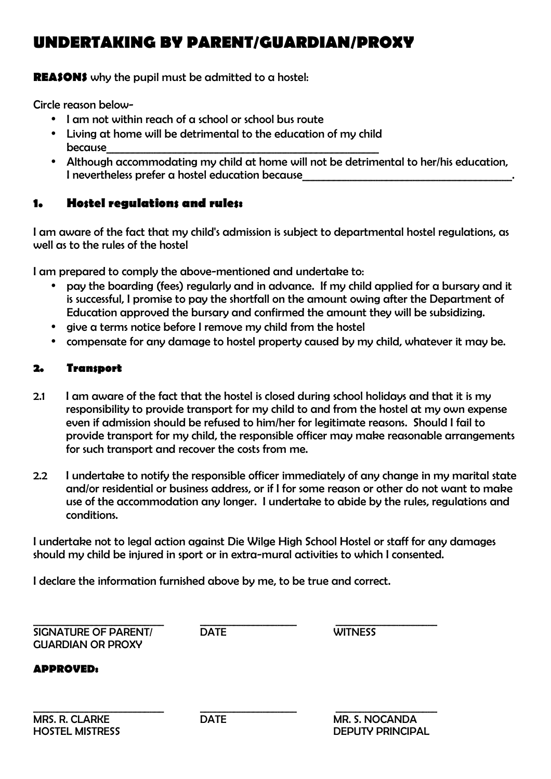## *UNDERTAKING BY PARENT/GUARDIAN/PROXY*

**REASONS** why the pupil must be admitted to a hostel:

Circle reason below-

- I am not within reach of a school or school bus route
- Living at home will be detrimental to the education of my child because\_\_\_\_\_\_\_\_\_\_\_\_\_\_\_\_\_\_\_\_\_\_\_\_\_\_\_\_\_\_\_\_\_\_\_\_\_\_\_\_\_\_\_\_\_\_\_\_\_\_\_\_
- Although accommodating my child at home will not be detrimental to her/his education, I nevertheless prefer a hostel education because

### *1. Hostel regulations and rules:*

I am aware of the fact that my child's admission is subject to departmental hostel regulations, as well as to the rules of the hostel

I am prepared to comply the above-mentioned and undertake to:

- pay the boarding (fees) regularly and in advance. If my child applied for a bursary and it is successful, I promise to pay the shortfall on the amount owing after the Department of Education approved the bursary and confirmed the amount they will be subsidizing.
- give a terms notice before I remove my child from the hostel
- compensate for any damage to hostel property caused by my child, whatever it may be.

### *2. Transport*

- 2.1 I am aware of the fact that the hostel is closed during school holidays and that it is my responsibility to provide transport for my child to and from the hostel at my own expense even if admission should be refused to him/her for legitimate reasons. Should I fail to provide transport for my child, the responsible officer may make reasonable arrangements for such transport and recover the costs from me.
- 2.2 I undertake to notify the responsible officer immediately of any change in my marital state and/or residential or business address, or if I for some reason or other do not want to make use of the accommodation any longer. I undertake to abide by the rules, regulations and conditions.

I undertake not to legal action against Die Wilge High School Hostel or staff for any damages should my child be injured in sport or in extra-mural activities to which I consented.

I declare the information furnished above by me, to be true and correct.

\_\_\_\_\_\_\_\_\_\_\_\_\_\_\_\_\_\_\_\_\_\_\_\_\_\_\_ \_\_\_\_\_\_\_\_\_\_\_\_\_\_\_\_\_\_\_\_ \_\_\_\_\_\_\_\_\_\_\_\_\_\_\_\_\_\_\_\_\_ SIGNATURE OF PARENT/ DATE WITNESS GUARDIAN OR PROXY

*APPROVED:*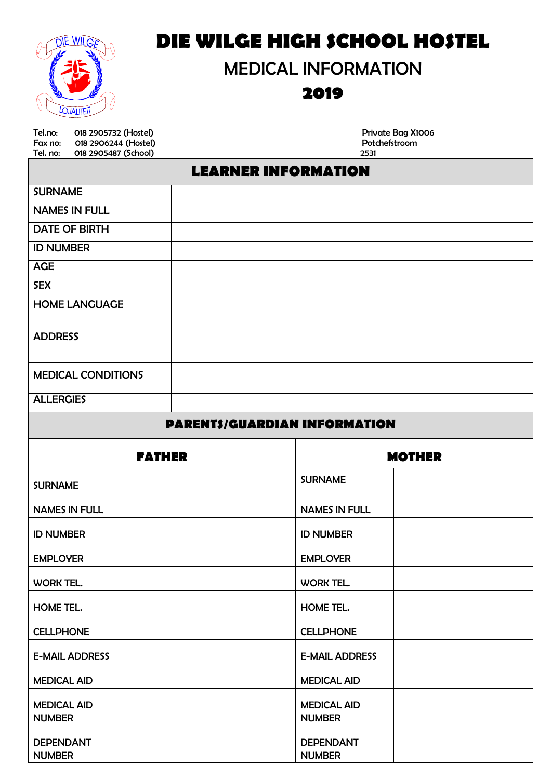

# *DIE WILGE HIGH SCHOOL HOSTEL*

# MEDICAL INFORMATION

## *2019*

Tel.no: 018 2905732 (Hostel) Private Bag X1006 Fax no: 018 2906244 (Hostel) Potchefstroom Tel. no: 018 2905487 (School) 2531

## *LEARNER INFORMATION*

| <b>SURNAME</b>            |  |
|---------------------------|--|
| <b>NAMES IN FULL</b>      |  |
| <b>DATE OF BIRTH</b>      |  |
| <b>ID NUMBER</b>          |  |
| <b>AGE</b>                |  |
| <b>SEX</b>                |  |
| <b>HOME LANGUAGE</b>      |  |
|                           |  |
| <b>ADDRESS</b>            |  |
|                           |  |
| <b>MEDICAL CONDITIONS</b> |  |
|                           |  |
| <b>ALLERGIES</b>          |  |

### *PARENTS/GUARDIAN INFORMATION*

| <b>FATHER</b>                       | <b>MOTHER</b>                       |  |
|-------------------------------------|-------------------------------------|--|
| <b>SURNAME</b>                      | <b>SURNAME</b>                      |  |
| <b>NAMES IN FULL</b>                | <b>NAMES IN FULL</b>                |  |
| <b>ID NUMBER</b>                    | <b>ID NUMBER</b>                    |  |
| <b>EMPLOYER</b>                     | <b>EMPLOYER</b>                     |  |
| <b>WORK TEL.</b>                    | WORK TEL.                           |  |
| HOME TEL.                           | HOME TEL.                           |  |
| <b>CELLPHONE</b>                    | <b>CELLPHONE</b>                    |  |
| <b>E-MAIL ADDRESS</b>               | <b>E-MAIL ADDRESS</b>               |  |
| <b>MEDICAL AID</b>                  | <b>MEDICAL AID</b>                  |  |
| <b>MEDICAL AID</b><br><b>NUMBER</b> | <b>MEDICAL AID</b><br><b>NUMBER</b> |  |
| <b>DEPENDANT</b><br><b>NUMBER</b>   | <b>DEPENDANT</b><br><b>NUMBER</b>   |  |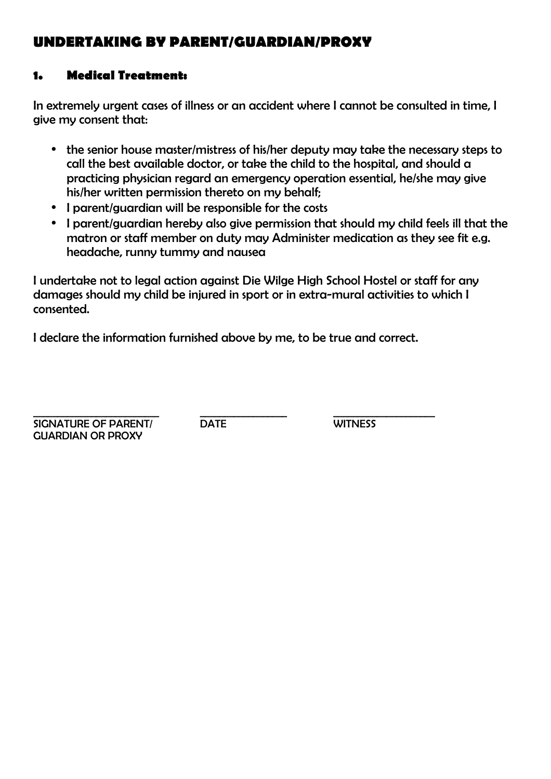## *UNDERTAKING BY PARENT/GUARDIAN/PROXY*

### *1. Medical Treatment:*

In extremely urgent cases of illness or an accident where I cannot be consulted in time, I give my consent that:

- the senior house master/mistress of his/her deputy may take the necessary steps to call the best available doctor, or take the child to the hospital, and should a practicing physician regard an emergency operation essential, he/she may give his/her written permission thereto on my behalf;
- I parent/guardian will be responsible for the costs
- I parent/guardian hereby also give permission that should my child feels ill that the matron or staff member on duty may Administer medication as they see fit e.g. headache, runny tummy and nausea

I undertake not to legal action against Die Wilge High School Hostel or staff for any damages should my child be injured in sport or in extra-mural activities to which I consented.

I declare the information furnished above by me, to be true and correct.

\_\_\_\_\_\_\_\_\_\_\_\_\_\_\_\_\_\_\_\_\_\_\_\_\_\_ \_\_\_\_\_\_\_\_\_\_\_\_\_\_\_\_\_\_ \_\_\_\_\_\_\_\_\_\_\_\_\_\_\_\_\_\_\_\_\_ SIGNATURE OF PARENT/ DATE WITNESS GUARDIAN OR PROXY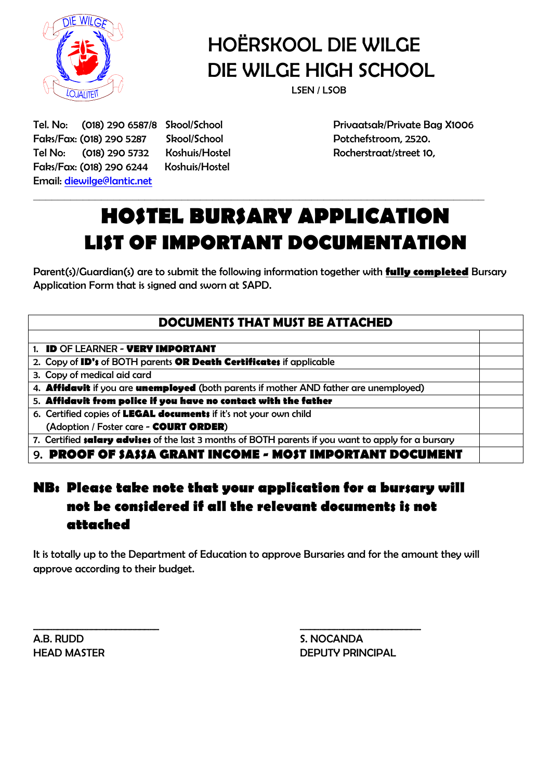

# HOËRSKOOL DIE WILGE DIE WILGE HIGH SCHOOL

Faks/Fax: (018) 290 5287 Skool/School Potchefstroom, 2520. Tel No: (018) 290 5732 Koshuis/Hostel Rocherstraat/street 10, Faks/Fax: (018) 290 6244 Koshuis/Hostel Email: diewilge@lantic.net

Tel. No: (018) 290 6587/8 Skool/School Privaatsak/Private Bag X1006

# *HOSTEL BURSARY APPLICATION LIST OF IMPORTANT DOCUMENTATION*

**\_\_\_\_\_\_\_\_\_\_\_\_\_\_\_\_\_\_\_\_\_\_\_\_\_\_\_\_\_\_\_\_\_\_\_\_\_\_\_\_\_\_\_\_\_\_\_\_\_\_\_\_\_\_\_\_\_\_\_\_\_\_\_\_\_\_\_\_\_\_\_\_\_**

Parent(s)/Guardian(s) are to submit the following information together with *fully completed* Bursary Application Form that is signed and sworn at SAPD.

### **DOCUMENTS THAT MUST BE ATTACHED**

1. *ID* OF LEARNER - *VERY IMPORTANT*

2. Copy of *ID's* of BOTH parents *OR Death Certificates* if applicable

3. Copy of medical aid card

4. *Affidavit* if you are *unemployed* (both parents if mother AND father are unemployed)

5. *Affidavit from police if you have no contact with the father*

6. Certified copies of *LEGAL documents* if it's not your own child (Adoption / Foster care - *COURT ORDER*)

7. Certified *salary advises* of the last 3 months of BOTH parents if you want to apply for a bursary

9. *PROOF OF SASSA GRANT INCOME - MOST IMPORTANT DOCUMENT*

## *NB: Please take note that your application for a bursary will not be considered if all the relevant documents is not attached*

It is totally up to the Department of Education to approve Bursaries and for the amount they will approve according to their budget.

 $\overline{\phantom{a}}$  ,  $\overline{\phantom{a}}$  ,  $\overline{\phantom{a}}$  ,  $\overline{\phantom{a}}$  ,  $\overline{\phantom{a}}$  ,  $\overline{\phantom{a}}$  ,  $\overline{\phantom{a}}$  ,  $\overline{\phantom{a}}$  ,  $\overline{\phantom{a}}$  ,  $\overline{\phantom{a}}$  ,  $\overline{\phantom{a}}$  ,  $\overline{\phantom{a}}$  ,  $\overline{\phantom{a}}$  ,  $\overline{\phantom{a}}$  ,  $\overline{\phantom{a}}$  ,  $\overline{\phantom{a}}$ 

A.B. RUDD S. NOCANDA

HEAD MASTER **EXECUTE IN THEAD MASTER DEPUTY PRINCIPAL**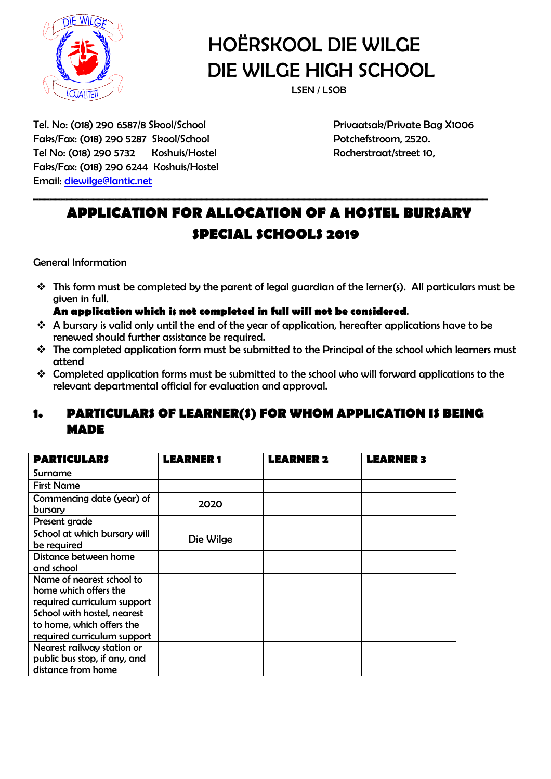

# HOËRSKOOL DIE WILGE DIE WILGE HIGH SCHOOL

Tel. No: (018) 290 6587/8 Skool/School Privaatsak/Private Bag X1006 Faks/Fax: (018) 290 5287 Skool/School Potchefstroom, 2520. Tel No: (018) 290 5732 Koshuis/Hostel Rocherstraat/street 10, Faks/Fax: (018) 290 6244 Koshuis/Hostel Email: diewilge@lantic.net

## *APPLICATION FOR ALLOCATION OF A HOSTEL BURSARY SPECIAL SCHOOLS 2019*

*\_\_\_\_\_\_\_\_\_\_\_\_\_\_\_\_\_\_\_\_\_\_\_\_\_\_\_\_\_\_\_\_\_\_\_\_\_\_\_\_\_\_\_\_\_\_\_\_\_\_\_\_\_\_\_\_\_\_\_\_\_\_\_\_\_\_\_\_\_\_\_\_\_\_\_\_\_\_\_\_\_\_\_\_*

General Information

 $\cdot$  This form must be completed by the parent of legal guardian of the lerner(s). All particulars must be given in full.

#### *An application which is not completed in full will not be considered*.

- $\cdot$  A bursary is valid only until the end of the year of application, hereafter applications have to be renewed should further assistance be required.
- The completed application form must be submitted to the Principal of the school which learners must attend
- Completed application forms must be submitted to the school who will forward applications to the relevant departmental official for evaluation and approval.

### *1. PARTICULARS OF LEARNER(S) FOR WHOM APPLICATION IS BEING MADE*

| <b>PARTICULARS</b>           | <b>LEARNER</b> 1 | <b>LEARNER 2</b> | <b>LEARNER 3</b> |
|------------------------------|------------------|------------------|------------------|
| Surname                      |                  |                  |                  |
| <b>First Name</b>            |                  |                  |                  |
| Commencing date (year) of    | 2020             |                  |                  |
| bursary                      |                  |                  |                  |
| Present grade                |                  |                  |                  |
| School at which bursary will | Die Wilge        |                  |                  |
| be required                  |                  |                  |                  |
| Distance between home        |                  |                  |                  |
| and school                   |                  |                  |                  |
| Name of nearest school to    |                  |                  |                  |
| home which offers the        |                  |                  |                  |
| required curriculum support  |                  |                  |                  |
| School with hostel, nearest  |                  |                  |                  |
| to home, which offers the    |                  |                  |                  |
| required curriculum support  |                  |                  |                  |
| Nearest railway station or   |                  |                  |                  |
| public bus stop, if any, and |                  |                  |                  |
| distance from home           |                  |                  |                  |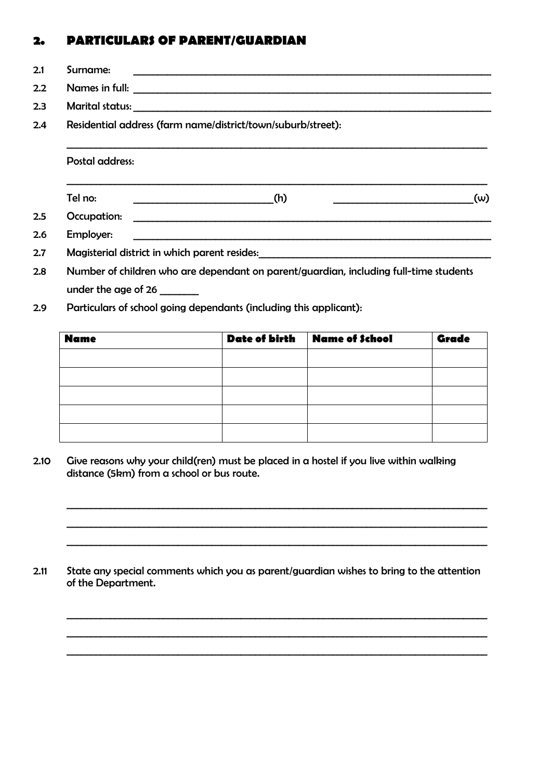### *2. PARTICULARS OF PARENT/GUARDIAN*

- 2.1 Surname: \_\_\_\_\_\_\_\_\_\_\_\_\_\_\_\_\_\_\_\_\_\_\_\_\_\_\_\_\_\_\_\_\_\_\_\_\_\_\_\_\_\_\_\_\_\_\_\_\_\_\_\_\_\_\_\_\_\_\_\_\_\_\_\_\_\_\_\_\_\_\_\_\_\_
- 2.2 Names in full:
- 2.3 Marital status:
- 2.4 Residential address (farm name/district/town/suburb/street):

#### Postal address:

Tel no:  $\underline{\hspace{1cm}}(h)$   $\underline{\hspace{1cm}}(h)$   $\underline{\hspace{1cm}}(w)$ 

 $\mathcal{L}_\text{max} = \frac{1}{2} \sum_{i=1}^{n} \frac{1}{2} \sum_{i=1}^{n} \frac{1}{2} \sum_{i=1}^{n} \frac{1}{2} \sum_{i=1}^{n} \frac{1}{2} \sum_{i=1}^{n} \frac{1}{2} \sum_{i=1}^{n} \frac{1}{2} \sum_{i=1}^{n} \frac{1}{2} \sum_{i=1}^{n} \frac{1}{2} \sum_{i=1}^{n} \frac{1}{2} \sum_{i=1}^{n} \frac{1}{2} \sum_{i=1}^{n} \frac{1}{2} \sum_{i=1}^{n} \frac{1$ 

 $\mathcal{L}_\text{max} = \frac{1}{2} \sum_{i=1}^{n} \frac{1}{2} \sum_{i=1}^{n} \frac{1}{2} \sum_{i=1}^{n} \frac{1}{2} \sum_{i=1}^{n} \frac{1}{2} \sum_{i=1}^{n} \frac{1}{2} \sum_{i=1}^{n} \frac{1}{2} \sum_{i=1}^{n} \frac{1}{2} \sum_{i=1}^{n} \frac{1}{2} \sum_{i=1}^{n} \frac{1}{2} \sum_{i=1}^{n} \frac{1}{2} \sum_{i=1}^{n} \frac{1}{2} \sum_{i=1}^{n} \frac{1$ 

- 2.5 Occupation: \_\_\_\_\_\_\_\_\_\_\_\_\_\_\_\_\_\_\_\_\_\_\_\_\_\_\_\_\_\_\_\_\_\_\_\_\_\_\_\_\_\_\_\_\_\_\_\_\_\_\_\_\_\_\_\_\_\_\_\_\_\_\_\_\_\_\_\_\_\_\_\_\_\_
- 2.6 Employer:
	- 2.7 Magisterial district in which parent resides:
	- 2.8 Number of children who are dependant on parent/guardian, including full-time students under the age of 26
	- 2.9 Particulars of school going dependants (including this applicant):

| <b>Name</b> | <b>Date of birth</b> | Name of School | <b>Grade</b> |
|-------------|----------------------|----------------|--------------|
|             |                      |                |              |
|             |                      |                |              |
|             |                      |                |              |
|             |                      |                |              |
|             |                      |                |              |

2.10 Give reasons why your child(ren) must be placed in a hostel if you live within walking distance (5km) from a school or bus route.

2.11 State any special comments which you as parent/guardian wishes to bring to the attention of the Department.

 $\mathcal{L}_\text{max} = \frac{1}{2} \sum_{i=1}^n \frac{1}{2} \sum_{i=1}^n \frac{1}{2} \sum_{i=1}^n \frac{1}{2} \sum_{i=1}^n \frac{1}{2} \sum_{i=1}^n \frac{1}{2} \sum_{i=1}^n \frac{1}{2} \sum_{i=1}^n \frac{1}{2} \sum_{i=1}^n \frac{1}{2} \sum_{i=1}^n \frac{1}{2} \sum_{i=1}^n \frac{1}{2} \sum_{i=1}^n \frac{1}{2} \sum_{i=1}^n \frac{1}{2} \sum_{i=1}^n$  $\mathcal{L}_\text{max} = \frac{1}{2} \sum_{i=1}^n \frac{1}{2} \sum_{i=1}^n \frac{1}{2} \sum_{i=1}^n \frac{1}{2} \sum_{i=1}^n \frac{1}{2} \sum_{i=1}^n \frac{1}{2} \sum_{i=1}^n \frac{1}{2} \sum_{i=1}^n \frac{1}{2} \sum_{i=1}^n \frac{1}{2} \sum_{i=1}^n \frac{1}{2} \sum_{i=1}^n \frac{1}{2} \sum_{i=1}^n \frac{1}{2} \sum_{i=1}^n \frac{1}{2} \sum_{i=1}^n$  $\mathcal{L}_\text{max} = \frac{1}{2} \sum_{i=1}^{n} \frac{1}{2} \sum_{i=1}^{n} \frac{1}{2} \sum_{i=1}^{n} \frac{1}{2} \sum_{i=1}^{n} \frac{1}{2} \sum_{i=1}^{n} \frac{1}{2} \sum_{i=1}^{n} \frac{1}{2} \sum_{i=1}^{n} \frac{1}{2} \sum_{i=1}^{n} \frac{1}{2} \sum_{i=1}^{n} \frac{1}{2} \sum_{i=1}^{n} \frac{1}{2} \sum_{i=1}^{n} \frac{1}{2} \sum_{i=1}^{n} \frac{1$ 

 $\mathcal{L}_\text{max} = \frac{1}{2} \sum_{i=1}^n \frac{1}{2} \sum_{i=1}^n \frac{1}{2} \sum_{i=1}^n \frac{1}{2} \sum_{i=1}^n \frac{1}{2} \sum_{i=1}^n \frac{1}{2} \sum_{i=1}^n \frac{1}{2} \sum_{i=1}^n \frac{1}{2} \sum_{i=1}^n \frac{1}{2} \sum_{i=1}^n \frac{1}{2} \sum_{i=1}^n \frac{1}{2} \sum_{i=1}^n \frac{1}{2} \sum_{i=1}^n \frac{1}{2} \sum_{i=1}^n$  $\mathcal{L}_\text{max} = \frac{1}{2} \sum_{i=1}^n \frac{1}{2} \sum_{i=1}^n \frac{1}{2} \sum_{i=1}^n \frac{1}{2} \sum_{i=1}^n \frac{1}{2} \sum_{i=1}^n \frac{1}{2} \sum_{i=1}^n \frac{1}{2} \sum_{i=1}^n \frac{1}{2} \sum_{i=1}^n \frac{1}{2} \sum_{i=1}^n \frac{1}{2} \sum_{i=1}^n \frac{1}{2} \sum_{i=1}^n \frac{1}{2} \sum_{i=1}^n \frac{1}{2} \sum_{i=1}^n$  $\mathcal{L}_\text{max} = \frac{1}{2} \sum_{i=1}^{n} \frac{1}{2} \sum_{i=1}^{n} \frac{1}{2} \sum_{i=1}^{n} \frac{1}{2} \sum_{i=1}^{n} \frac{1}{2} \sum_{i=1}^{n} \frac{1}{2} \sum_{i=1}^{n} \frac{1}{2} \sum_{i=1}^{n} \frac{1}{2} \sum_{i=1}^{n} \frac{1}{2} \sum_{i=1}^{n} \frac{1}{2} \sum_{i=1}^{n} \frac{1}{2} \sum_{i=1}^{n} \frac{1}{2} \sum_{i=1}^{n} \frac{1$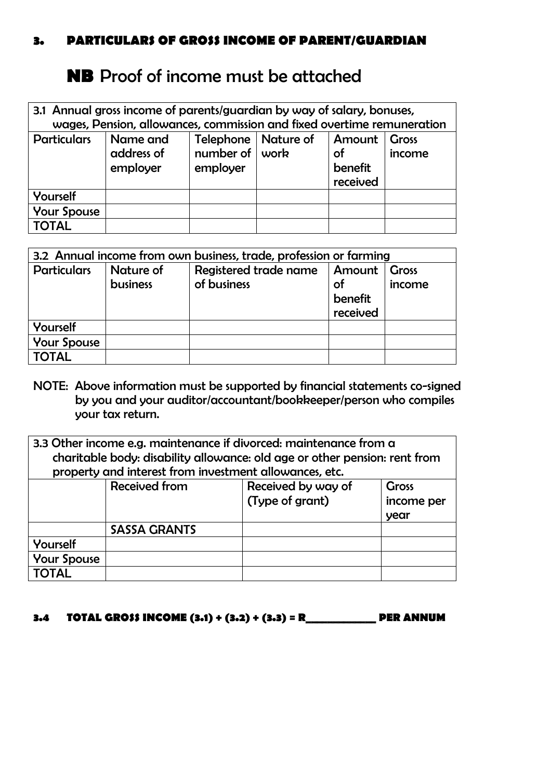### *3. PARTICULARS OF GROSS INCOME OF PARENT/GUARDIAN*

## **NB** Proof of income must be attached

| 3.1 Annual gross income of parents/guardian by way of salary, bonuses, |                                                                        |                                                                                                                                 |  |  |  |  |  |
|------------------------------------------------------------------------|------------------------------------------------------------------------|---------------------------------------------------------------------------------------------------------------------------------|--|--|--|--|--|
|                                                                        | wages, Pension, allowances, commission and fixed overtime remuneration |                                                                                                                                 |  |  |  |  |  |
| <b>Particulars</b>                                                     | Name and<br>address of<br>employer                                     | Telephone   Nature of<br>Amount<br><b>Cross</b><br>number of $ $ work<br><b>of</b><br>income<br>benefit<br>employer<br>received |  |  |  |  |  |
| Yourself                                                               |                                                                        |                                                                                                                                 |  |  |  |  |  |
| <b>Your Spouse</b>                                                     |                                                                        |                                                                                                                                 |  |  |  |  |  |
| <b>TOTAL</b>                                                           |                                                                        |                                                                                                                                 |  |  |  |  |  |

| 3.2 Annual income from own business, trade, profession or farming |                              |                                      |                                     |                        |  |
|-------------------------------------------------------------------|------------------------------|--------------------------------------|-------------------------------------|------------------------|--|
| <b>Particulars</b>                                                | Nature of<br><b>business</b> | Registered trade name<br>of business | Amount<br>οf<br>benefit<br>received | <b>Gross</b><br>income |  |
| Yourself                                                          |                              |                                      |                                     |                        |  |
| <b>Your Spouse</b>                                                |                              |                                      |                                     |                        |  |
| <b>TOTAL</b>                                                      |                              |                                      |                                     |                        |  |

- NOTE: Above information must be supported by financial statements co-signed by you and your auditor/accountant/bookkeeper/person who compiles your tax return.
- 3.3 Other income e.g. maintenance if divorced: maintenance from a charitable body: disability allowance: old age or other pension: rent from property and interest from investment allowances, etc.

|                    | <b>Received from</b> | Received by way of | <b>Gross</b> |
|--------------------|----------------------|--------------------|--------------|
|                    |                      | (Type of grant)    | income per   |
|                    |                      |                    | year         |
|                    | <b>SASSA GRANTS</b>  |                    |              |
| Yourself           |                      |                    |              |
| <b>Your Spouse</b> |                      |                    |              |
| <b>TOTAL</b>       |                      |                    |              |

### *3.4 TOTAL GROSS INCOME (3.1) + (3.2) + (3.3) = R\_\_\_\_\_\_\_\_\_\_\_\_\_ PER ANNUM*